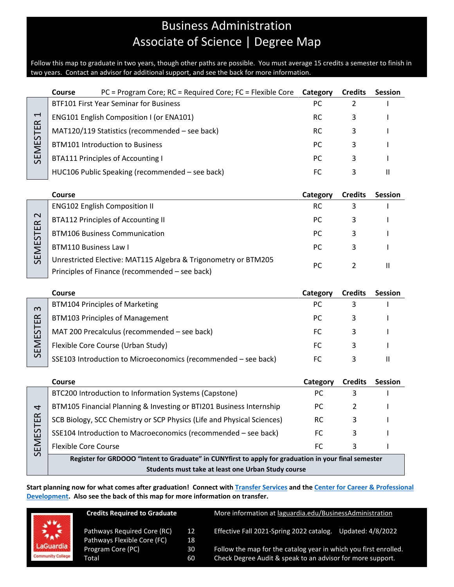# Business Administration Associate of Science | Degree Map

Follow this map to graduate in two years, though other paths are possible. You must average 15 credits a semester to finish in two years. Contact an advisor for additional support, and see the back for more information.

|                                  | Course<br>PC = Program Core; RC = Required Core; FC = Flexible Core                                                                                        | Category       | <b>Credits</b>      | <b>Session</b> |
|----------------------------------|------------------------------------------------------------------------------------------------------------------------------------------------------------|----------------|---------------------|----------------|
| $\blacktriangleleft$<br>SEMESTER | <b>BTF101 First Year Seminar for Business</b>                                                                                                              | PC             | 2                   |                |
|                                  | ENG101 English Composition I (or ENA101)                                                                                                                   | <b>RC</b>      | 3                   |                |
|                                  | MAT120/119 Statistics (recommended - see back)                                                                                                             | RC.            | 3                   |                |
|                                  | <b>BTM101 Introduction to Business</b>                                                                                                                     | PC.            | 3                   |                |
|                                  | <b>BTA111 Principles of Accounting I</b>                                                                                                                   | PC             | 3                   |                |
|                                  | HUC106 Public Speaking (recommended - see back)                                                                                                            | <b>FC</b>      | 3                   | Ш              |
|                                  |                                                                                                                                                            |                |                     |                |
|                                  | <b>Course</b>                                                                                                                                              | Category       | <b>Credits</b>      | <b>Session</b> |
| SEMESTER 2                       | <b>ENG102 English Composition II</b>                                                                                                                       | <b>RC</b>      | 3                   |                |
|                                  | <b>BTA112 Principles of Accounting II</b>                                                                                                                  | PC             | 3                   |                |
|                                  | <b>BTM106 Business Communication</b>                                                                                                                       | PC             | 3                   |                |
|                                  | <b>BTM110 Business Law I</b>                                                                                                                               | PC             | 3                   |                |
|                                  | Unrestricted Elective: MAT115 Algebra & Trigonometry or BTM205                                                                                             | PC             | $\overline{2}$      | $\mathbf{II}$  |
|                                  | Principles of Finance (recommended - see back)                                                                                                             |                |                     |                |
|                                  |                                                                                                                                                            |                |                     |                |
|                                  | Course                                                                                                                                                     |                |                     |                |
|                                  | <b>BTM104 Principles of Marketing</b>                                                                                                                      | Category<br>PC | <b>Credits</b><br>3 | <b>Session</b> |
| $\infty$                         | <b>BTM103 Principles of Management</b>                                                                                                                     | PC             | 3                   |                |
|                                  | MAT 200 Precalculus (recommended - see back)                                                                                                               | FC.            | 3                   |                |
|                                  | Flexible Core Course (Urban Study)                                                                                                                         | FC             | 3                   |                |
| SEMESTER                         | SSE103 Introduction to Microeconomics (recommended - see back)                                                                                             | FC             | 3                   | $\mathbf{H}$   |
|                                  |                                                                                                                                                            |                |                     |                |
|                                  | Course                                                                                                                                                     | Category       | <b>Credits</b>      | <b>Session</b> |
|                                  | BTC200 Introduction to Information Systems (Capstone)                                                                                                      | PC             | 3                   |                |
| 4                                | BTM105 Financial Planning & Investing or BTI201 Business Internship                                                                                        | PC             | 2                   |                |
|                                  | SCB Biology, SCC Chemistry or SCP Physics (Life and Physical Sciences)                                                                                     | <b>RC</b>      | 3                   |                |
|                                  | SSE104 Introduction to Macroeconomics (recommended - see back)                                                                                             | FC.            | 3                   |                |
|                                  | <b>Flexible Core Course</b>                                                                                                                                | <b>FC</b>      | 3                   | $\mathbf{I}$   |
| SEMESTER                         | Register for GRDOOO "Intent to Graduate" in CUNYfirst to apply for graduation in your final semester<br>Students must take at least one Urban Study course |                |                     |                |

**Start planning now for what comes after graduation! Connect with [Transfer Services](https://www.laguardia.edu/transferservices/) and the [Center for Career & Professional](https://www.laguardia.edu/careerservices/)  [Development.](https://www.laguardia.edu/careerservices/) Also see the back of this map for more information on transfer.**

| aGuardia                 |
|--------------------------|
| <b>Community College</b> |

| <b>Credits Required to Graduate</b> |    | More information at laguardia.edu/BusinessAdministration         |
|-------------------------------------|----|------------------------------------------------------------------|
| Pathways Required Core (RC)         | 12 | Effective Fall 2021-Spring 2022 catalog.                         |
| Pathways Flexible Core (FC)         | 18 | Updated: 4/8/2022                                                |
| Program Core (PC)                   | 30 | Follow the map for the catalog year in which you first enrolled. |
| Total                               | 60 | Check Degree Audit & speak to an advisor for more support.       |